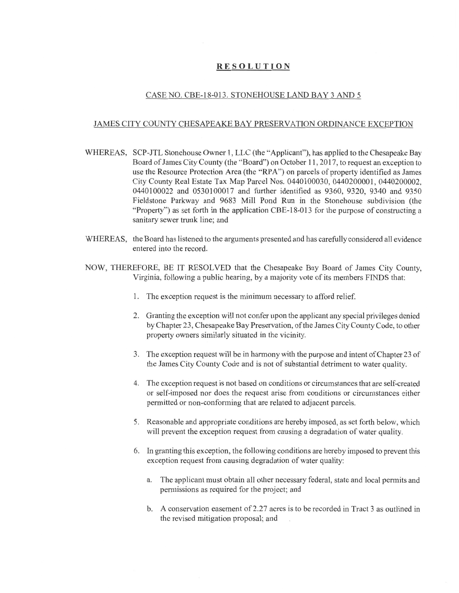## **RESOLUTION**

## CASE NO. CBE-18-013. STONEHOUSE LAND BAY 3 AND 5

## JAMES CITY COUNTY CHESAPEAKE BAY PRESERVATION ORDINANCE EXCEPTION

- WHEREAS, SCP-JTL Stonehouse Owner 1, LLC (the "Applicant"), has applied to the Chesapeake Bay Board of James City County (the "Board") on October 11,2017, to reques<sup>t</sup> an exception to use the Resource Protection Area (the "RPA") on parcels of property identified as James City County Real Estate Tax Map Parcel Nos. 0440100030, 0440200001, 0440200002, 0440100022 and 0530100017 and further identified as 9360, 9320, 9340 and 9350 Fieldstone Parkway and 9683 Mill Pond Run in the Stonehouse subdivision (the "Property") as set forth in the application CBE-18-013 for the purpose of constructing <sup>a</sup> sanitary sewer trunk line; and
- WHEREAS, the Board has listened to the arguments presented and has carefully considered all evidence entered into the record.
- NOW, THEREFORE, BE IT RESOLVED that the Chesapeake Bay Board of James City County, Virginia, following <sup>a</sup> public hearing, by <sup>a</sup> majority vote of its members FINDS that:
	- 1. The exception reques<sup>t</sup> is the minimum necessary to afford relief.
	- Granting the exception will not confer upon the applicant any special privileges denied **2.** by Chapter 23, Chesapeake Bay Preservation, of the James City County Code, to other property owners similarly situated in the vicinity.
	- The exception reques<sup>t</sup> will be in harmony with the purpose and intent of Chapter 23 of **3.** the James City County Code and is not of substantial detriment to water quality.
	- **4.** The exception reques<sup>t</sup> is not based on conditions or circumstances that are self-created or self-imposed nor does the reques<sup>t</sup> arise from conditions or circumstances either permitted or non-conforming that are related to adjacent parcels.
	- 5. Reasonable and appropriate conditions are hereby imposed, as set forth below, which will preven<sup>t</sup> the exception reques<sup>t</sup> from causing <sup>a</sup> degradation of water quality.
	- 6. In granting this exception, the following conditions are hereby imposed to prevent this exception reques<sup>t</sup> from causing degradation of water quality:
		- a. The applicant must obtain all other necessary federal, state and local permits and permissions as required for the project; and
		- b. A conservation easement of 2.27 acres is to be recorded in Tract 3 as outlined in the revised mitigation proposal; and